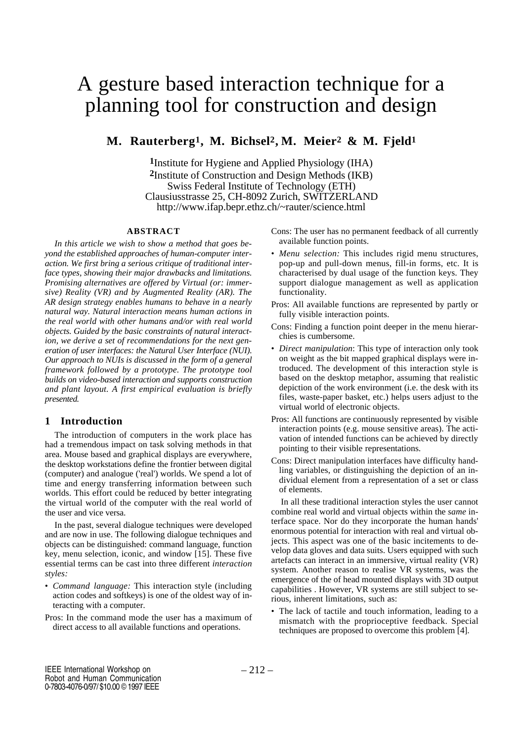## A gesture based interaction technique for a planning tool for construction and design

### **M. Rauterberg1, M. Bichsel2 , M. Meier2 & M. Fjeld1**

**1**Institute for Hygiene and Applied Physiology (IHA) **2**Institute of Construction and Design Methods (IKB) Swiss Federal Institute of Technology (ETH) Clausiusstrasse 25, CH-8092 Zurich, SWITZERLAND http://www.ifap.bepr.ethz.ch/~rauter/science.html

#### **ABSTRACT**

*In this article we wish to show a method that goes beyond the established approaches of human-computer interaction. We first bring a serious critique of traditional interface types, showing their major drawbacks and limitations. Promising alternatives are offered by Virtual (or: immersive) Reality (VR) and by Augmented Reality (AR). The AR design strategy enables humans to behave in a nearly natural way. Natural interaction means human actions in the real world with other humans and/or with real world objects. Guided by the basic constraints of natural interaction, we derive a set of recommendations for the next generation of user interfaces: the Natural User Interface (NUI). Our approach to NUIs is discussed in the form of a general framework followed by a prototype. The prototype tool builds on video-based interaction and supports construction and plant layout. A first empirical evaluation is briefly presented.*

#### **1 Introduction**

The introduction of computers in the work place has had a tremendous impact on task solving methods in that area. Mouse based and graphical displays are everywhere, the desktop workstations define the frontier between digital (computer) and analogue ('real') worlds. We spend a lot of time and energy transferring information between such worlds. This effort could be reduced by better integrating the virtual world of the computer with the real world of the user and vice versa.

In the past, several dialogue techniques were developed and are now in use. The following dialogue techniques and objects can be distinguished: command language, function key, menu selection, iconic, and window [15]. These five essential terms can be cast into three different *interaction styles:*

- *Command language:* This interaction style (including action codes and softkeys) is one of the oldest way of interacting with a computer.
- Pros: In the command mode the user has a maximum of direct access to all available functions and operations.

Cons: The user has no permanent feedback of all currently available function points.

- *Menu selection:* This includes rigid menu structures, pop-up and pull-down menus, fill-in forms, etc. It is characterised by dual usage of the function keys. They support dialogue management as well as application functionality.
- Pros: All available functions are represented by partly or fully visible interaction points.
- Cons: Finding a function point deeper in the menu hierarchies is cumbersome.
- *Direct manipulation*: This type of interaction only took on weight as the bit mapped graphical displays were introduced. The development of this interaction style is based on the desktop metaphor, assuming that realistic depiction of the work environment (i.e. the desk with its files, waste-paper basket, etc.) helps users adjust to the virtual world of electronic objects.
- Pros: All functions are continuously represented by visible interaction points (e.g. mouse sensitive areas). The activation of intended functions can be achieved by directly pointing to their visible representations.
- Cons: Direct manipulation interfaces have difficulty handling variables, or distinguishing the depiction of an individual element from a representation of a set or class of elements.

In all these traditional interaction styles the user cannot combine real world and virtual objects within the *same* interface space. Nor do they incorporate the human hands' enormous potential for interaction with real and virtual objects. This aspect was one of the basic incitements to develop data gloves and data suits. Users equipped with such artefacts can interact in an immersive, virtual reality (VR) system. Another reason to realise VR systems, was the emergence of the of head mounted displays with 3D output capabilities . However, VR systems are still subject to serious, inherent limitations, such as:

• The lack of tactile and touch information, leading to a mismatch with the proprioceptive feedback. Special techniques are proposed to overcome this problem [4].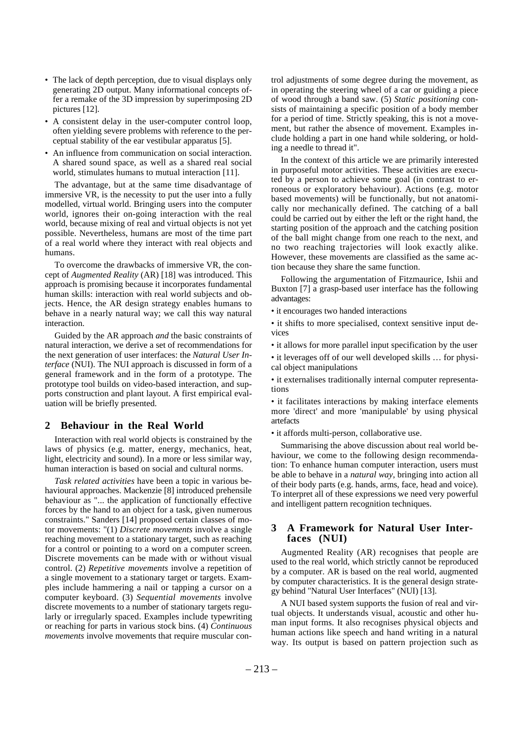- The lack of depth perception, due to visual displays only generating 2D output. Many informational concepts offer a remake of the 3D impression by superimposing 2D pictures [12].
- A consistent delay in the user-computer control loop, often yielding severe problems with reference to the perceptual stability of the ear vestibular apparatus [5].
- An influence from communication on social interaction. A shared sound space, as well as a shared real social world, stimulates humans to mutual interaction [11].

The advantage, but at the same time disadvantage of immersive VR, is the necessity to put the user into a fully modelled, virtual world. Bringing users into the computer world, ignores their on-going interaction with the real world, because mixing of real and virtual objects is not yet possible. Nevertheless, humans are most of the time part of a real world where they interact with real objects and humans.

To overcome the drawbacks of immersive VR, the concept of *Augmented Reality* (AR) [18] was introduced. This approach is promising because it incorporates fundamental human skills: interaction with real world subjects and objects. Hence, the AR design strategy enables humans to behave in a nearly natural way; we call this way natural interaction.

Guided by the AR approach *and* the basic constraints of natural interaction, we derive a set of recommendations for the next generation of user interfaces: the *Natural User Interface* (NUI). The NUI approach is discussed in form of a general framework and in the form of a prototype. The prototype tool builds on video-based interaction, and supports construction and plant layout. A first empirical evaluation will be briefly presented.

#### **2 Behaviour in the Real World**

Interaction with real world objects is constrained by the laws of physics (e.g. matter, energy, mechanics, heat, light, electricity and sound). In a more or less similar way, human interaction is based on social and cultural norms.

*Task related activities* have been a topic in various behavioural approaches. Mackenzie [8] introduced prehensile behaviour as "... the application of functionally effective forces by the hand to an object for a task, given numerous constraints." Sanders [14] proposed certain classes of motor movements: "(1) *Discrete movements* involve a single reaching movement to a stationary target, such as reaching for a control or pointing to a word on a computer screen. Discrete movements can be made with or without visual control. (2) *Repetitive movements* involve a repetition of a single movement to a stationary target or targets. Examples include hammering a nail or tapping a cursor on a computer keyboard. (3) *Sequential movements* involve discrete movements to a number of stationary targets regularly or irregularly spaced. Examples include typewriting or reaching for parts in various stock bins. (4) *Continuous movements* involve movements that require muscular control adjustments of some degree during the movement, as in operating the steering wheel of a car or guiding a piece of wood through a band saw. (5) *Static positioning* consists of maintaining a specific position of a body member for a period of time. Strictly speaking, this is not a movement, but rather the absence of movement. Examples include holding a part in one hand while soldering, or holding a needle to thread it".

In the context of this article we are primarily interested in purposeful motor activities. These activities are executed by a person to achieve some goal (in contrast to erroneous or exploratory behaviour). Actions (e.g. motor based movements) will be functionally, but not anatomically nor mechanically defined. The catching of a ball could be carried out by either the left or the right hand, the starting position of the approach and the catching position of the ball might change from one reach to the next, and no two reaching trajectories will look exactly alike. However, these movements are classified as the same action because they share the same function.

Following the argumentation of Fitzmaurice, Ishii and Buxton [7] a grasp-based user interface has the following advantages:

• it encourages two handed interactions

• it shifts to more specialised, context sensitive input devices

• it allows for more parallel input specification by the user

• it leverages off of our well developed skills … for physical object manipulations

• it externalises traditionally internal computer representations

• it facilitates interactions by making interface elements more 'direct' and more 'manipulable' by using physical artefacts

• it affords multi-person, collaborative use.

Summarising the above discussion about real world behaviour, we come to the following design recommendation: To enhance human computer interaction, users must be able to behave in a *natural way*, bringing into action all of their body parts (e.g. hands, arms, face, head and voice). To interpret all of these expressions we need very powerful and intelligent pattern recognition techniques.

#### **3 A Framework for Natural User Interfaces (NUI)**

Augmented Reality (AR) recognises that people are used to the real world, which strictly cannot be reproduced by a computer. AR is based on the real world, augmented by computer characteristics. It is the general design strategy behind "Natural User Interfaces" (NUI) [13].

A NUI based system supports the fusion of real and virtual objects. It understands visual, acoustic and other human input forms. It also recognises physical objects and human actions like speech and hand writing in a natural way. Its output is based on pattern projection such as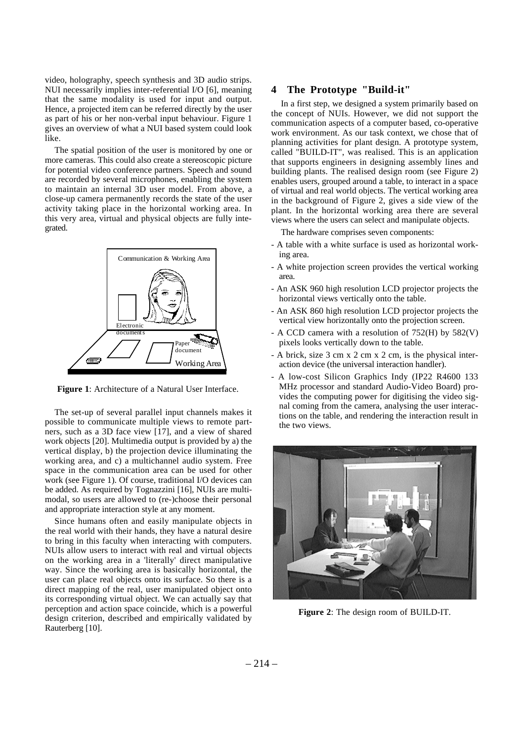video, holography, speech synthesis and 3D audio strips. NUI necessarily implies inter-referential I/O [6], meaning that the same modality is used for input and output. Hence, a projected item can be referred directly by the user as part of his or her non-verbal input behaviour. Figure 1 gives an overview of what a NUI based system could look like.

The spatial position of the user is monitored by one or more cameras. This could also create a stereoscopic picture for potential video conference partners. Speech and sound are recorded by several microphones, enabling the system to maintain an internal 3D user model. From above, a close-up camera permanently records the state of the user activity taking place in the horizontal working area. In this very area, virtual and physical objects are fully integrated.



**Figure 1**: Architecture of a Natural User Interface.

The set-up of several parallel input channels makes it possible to communicate multiple views to remote partners, such as a 3D face view [17], and a view of shared work objects [20]. Multimedia output is provided by a) the vertical display, b) the projection device illuminating the working area, and c) a multichannel audio system. Free space in the communication area can be used for other work (see Figure 1). Of course, traditional I/O devices can be added. As required by Tognazzini [16], NUIs are multimodal, so users are allowed to (re-)choose their personal and appropriate interaction style at any moment.

Since humans often and easily manipulate objects in the real world with their hands, they have a natural desire to bring in this faculty when interacting with computers. NUIs allow users to interact with real and virtual objects on the working area in a 'literally' direct manipulative way. Since the working area is basically horizontal, the user can place real objects onto its surface. So there is a direct mapping of the real, user manipulated object onto its corresponding virtual object. We can actually say that perception and action space coincide, which is a powerful design criterion, described and empirically validated by Rauterberg [10].

#### **4 The Prototype "Build-it"**

In a first step, we designed a system primarily based on the concept of NUIs. However, we did not support the communication aspects of a computer based, co-operative work environment. As our task context, we chose that of planning activities for plant design. A prototype system, called "BUILD-IT", was realised. This is an application that supports engineers in designing assembly lines and building plants. The realised design room (see Figure 2) enables users, grouped around a table, to interact in a space of virtual and real world objects. The vertical working area in the background of Figure 2, gives a side view of the plant. In the horizontal working area there are several views where the users can select and manipulate objects.

The hardware comprises seven components:

- A table with a white surface is used as horizontal working area.
- A white projection screen provides the vertical working area.
- An ASK 960 high resolution LCD projector projects the horizontal views vertically onto the table.
- An ASK 860 high resolution LCD projector projects the vertical view horizontally onto the projection screen.
- A CCD camera with a resolution of 752(H) by 582(V) pixels looks vertically down to the table.
- A brick, size 3 cm x 2 cm x 2 cm, is the physical interaction device (the universal interaction handler).
- A low-cost Silicon Graphics Indy (IP22 R4600 133 MHz processor and standard Audio-Video Board) provides the computing power for digitising the video signal coming from the camera, analysing the user interactions on the table, and rendering the interaction result in the two views.



**Figure 2**: The design room of BUILD-IT.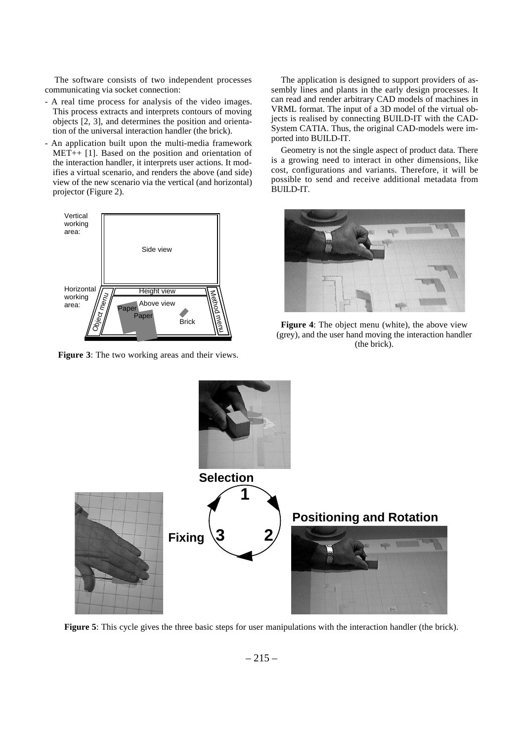The software consists of two independent processes communicating via socket connection:

- A real time process for analysis of the video images. This process extracts and interprets contours of moving objects [2, 3], and determines the position and orientation of the universal interaction handler (the brick).
- An application built upon the multi-media framework MET++ [1]. Based on the position and orientation of the interaction handler, it interprets user actions. It modifies a virtual scenario, and renders the above (and side) view of the new scenario via the vertical (and horizontal) projector (Figure 2).



**Figure 3**: The two working areas and their views.

The application is designed to support providers of assembly lines and plants in the early design processes. It can read and render arbitrary CAD models of machines in VRML format. The input of a 3D model of the virtual objects is realised by connecting BUILD-IT with the CAD-System CATIA. Thus, the original CAD-models were imported into BUILD-IT.

Geometry is not the single aspect of product data. There is a growing need to interact in other dimensions, like cost, configurations and variants. Therefore, it will be possible to send and receive additional metadata from BUILD-IT.



**Figure 4**: The object menu (white), the above view (grey), and the user hand moving the interaction handler (the brick).



**Figure 5**: This cycle gives the three basic steps for user manipulations with the interaction handler (the brick).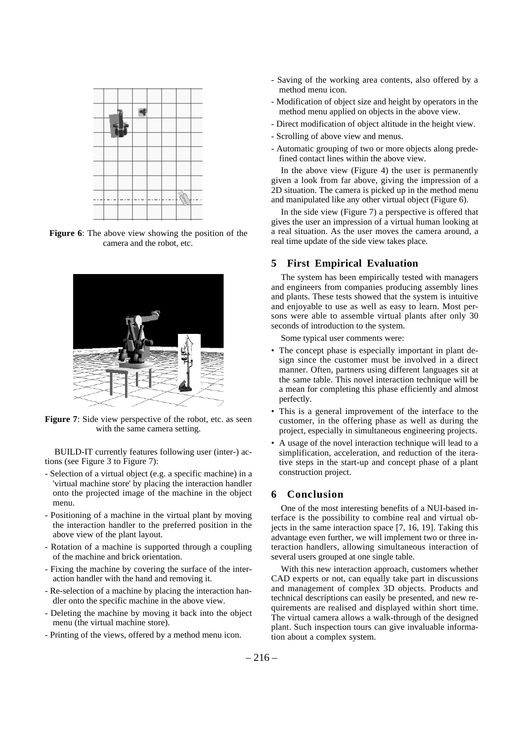

**Figure 6**: The above view showing the position of the camera and the robot, etc.



**Figure 7**: Side view perspective of the robot, etc. as seen with the same camera setting.

BUILD-IT currently features following user (inter-) actions (see Figure 3 to Figure 7):

- Selection of a virtual object (e.g. a specific machine) in a 'virtual machine store' by placing the interaction handler onto the projected image of the machine in the object menu.
- Positioning of a machine in the virtual plant by moving the interaction handler to the preferred position in the above view of the plant layout.
- Rotation of a machine is supported through a coupling of the machine and brick orientation.
- Fixing the machine by covering the surface of the interaction handler with the hand and removing it.
- Re-selection of a machine by placing the interaction handler onto the specific machine in the above view.
- Deleting the machine by moving it back into the object menu (the virtual machine store).
- Printing of the views, offered by a method menu icon.
- Saving of the working area contents, also offered by a method menu icon.
- Modification of object size and height by operators in the method menu applied on objects in the above view.
- Direct modification of object altitude in the height view.
- Scrolling of above view and menus.
- Automatic grouping of two or more objects along predefined contact lines within the above view.

In the above view (Figure 4) the user is permanently given a look from far above, giving the impression of a 2D situation. The camera is picked up in the method menu and manipulated like any other virtual object (Figure 6).

In the side view (Figure 7) a perspective is offered that gives the user an impression of a virtual human looking at a real situation. As the user moves the camera around, a real time update of the side view takes place.

#### **5 First Empirical Evaluation**

The system has been empirically tested with managers and engineers from companies producing assembly lines and plants. These tests showed that the system is intuitive and enjoyable to use as well as easy to learn. Most persons were able to assemble virtual plants after only 30 seconds of introduction to the system.

Some typical user comments were:

- The concept phase is especially important in plant design since the customer must be involved in a direct manner. Often, partners using different languages sit at the same table. This novel interaction technique will be a mean for completing this phase efficiently and almost perfectly.
- This is a general improvement of the interface to the customer, in the offering phase as well as during the project, especially in simultaneous engineering projects.
- A usage of the novel interaction technique will lead to a simplification, acceleration, and reduction of the iterative steps in the start-up and concept phase of a plant construction project.

#### **6 Conclusion**

One of the most interesting benefits of a NUI-based interface is the possibility to combine real and virtual objects in the same interaction space [7, 16, 19]. Taking this advantage even further, we will implement two or three interaction handlers, allowing simultaneous interaction of several users grouped at one single table.

With this new interaction approach, customers whether CAD experts or not, can equally take part in discussions and management of complex 3D objects. Products and technical descriptions can easily be presented, and new requirements are realised and displayed within short time. The virtual camera allows a walk-through of the designed plant. Such inspection tours can give invaluable information about a complex system.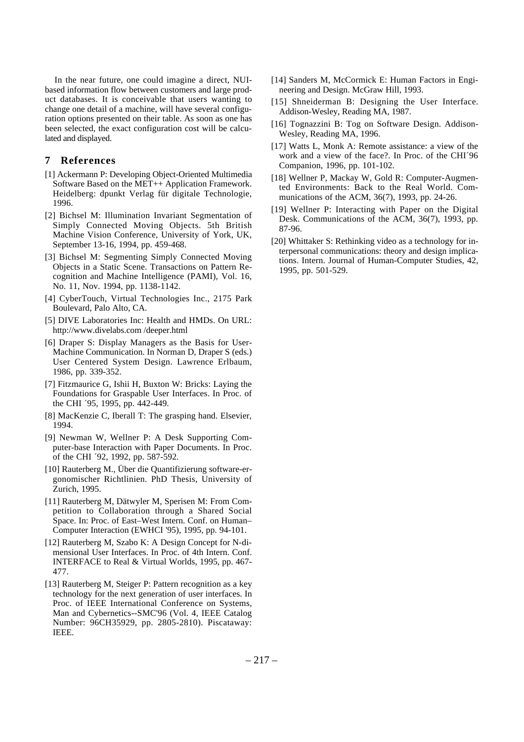In the near future, one could imagine a direct, NUIbased information flow between customers and large product databases. It is conceivable that users wanting to change one detail of a machine, will have several configuration options presented on their table. As soon as one has been selected, the exact configuration cost will be calculated and displayed.

#### **7 References**

- [1] Ackermann P: Developing Object-Oriented Multimedia Software Based on the MET++ Application Framework. Heidelberg: dpunkt Verlag für digitale Technologie, 1996.
- [2] Bichsel M: Illumination Invariant Segmentation of Simply Connected Moving Objects. 5th British Machine Vision Conference, University of York, UK, September 13-16, 1994, pp. 459-468.
- [3] Bichsel M: Segmenting Simply Connected Moving Objects in a Static Scene. Transactions on Pattern Recognition and Machine Intelligence (PAMI), Vol. 16, No. 11, Nov. 1994, pp. 1138-1142.
- [4] CyberTouch, Virtual Technologies Inc., 2175 Park Boulevard, Palo Alto, CA.
- [5] DIVE Laboratories Inc: Health and HMDs. On URL: http://www.divelabs.com /deeper.html
- [6] Draper S: Display Managers as the Basis for User-Machine Communication. In Norman D, Draper S (eds.) User Centered System Design. Lawrence Erlbaum, 1986, pp. 339-352.
- [7] Fitzmaurice G, Ishii H, Buxton W: Bricks: Laying the Foundations for Graspable User Interfaces. In Proc. of the CHI ´95, 1995, pp. 442-449.
- [8] MacKenzie C, Iberall T: The grasping hand. Elsevier, 1994.
- [9] Newman W, Wellner P: A Desk Supporting Computer-base Interaction with Paper Documents. In Proc. of the CHI ´92, 1992, pp. 587-592.
- [10] Rauterberg M., Über die Quantifizierung software-ergonomischer Richtlinien. PhD Thesis, University of Zurich, 1995.
- [11] Rauterberg M, Dätwyler M, Sperisen M: From Competition to Collaboration through a Shared Social Space. In: Proc. of East–West Intern. Conf. on Human– Computer Interaction (EWHCI '95), 1995, pp. 94-101.
- [12] Rauterberg M, Szabo K: A Design Concept for N-dimensional User Interfaces. In Proc. of 4th Intern. Conf. INTERFACE to Real & Virtual Worlds, 1995, pp. 467- 477.
- [13] Rauterberg M, Steiger P: Pattern recognition as a key technology for the next generation of user interfaces. In Proc. of IEEE International Conference on Systems, Man and Cybernetics--SMC'96 (Vol. 4, IEEE Catalog Number: 96CH35929, pp. 2805-2810). Piscataway: IEEE.
- [14] Sanders M, McCormick E: Human Factors in Engineering and Design. McGraw Hill, 1993.
- [15] Shneiderman B: Designing the User Interface. Addison-Wesley, Reading MA, 1987.
- [16] Tognazzini B: Tog on Software Design. Addison-Wesley, Reading MA, 1996.
- [17] Watts L, Monk A: Remote assistance: a view of the work and a view of the face?. In Proc. of the CHI´96 Companion, 1996, pp. 101-102.
- [18] Wellner P, Mackay W, Gold R: Computer-Augmented Environments: Back to the Real World. Communications of the ACM, 36(7), 1993, pp. 24-26.
- [19] Wellner P: Interacting with Paper on the Digital Desk. Communications of the ACM, 36(7), 1993, pp. 87-96.
- [20] Whittaker S: Rethinking video as a technology for interpersonal communications: theory and design implications. Intern. Journal of Human-Computer Studies, 42, 1995, pp. 501-529.